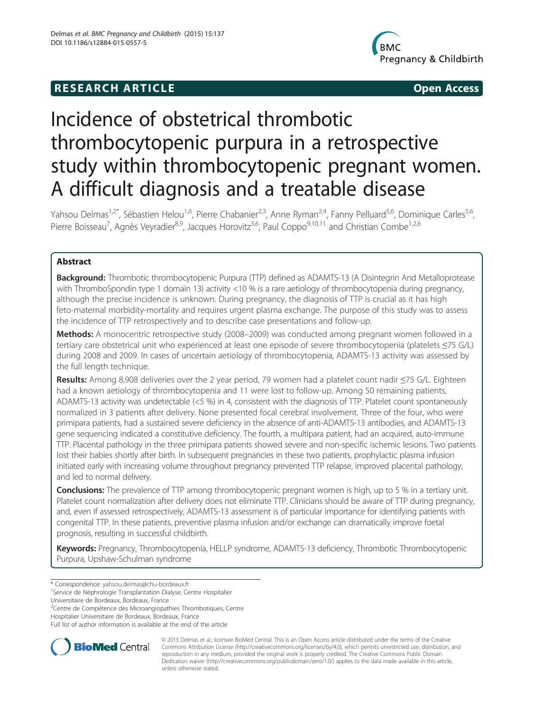## **RESEARCH ARTICLE Example 2014 The SEAR CH ACCESS**



# Incidence of obstetrical thrombotic thrombocytopenic purpura in a retrospective study within thrombocytopenic pregnant women. A difficult diagnosis and a treatable disease

Yahsou Delmas<sup>1,2\*</sup>, Sébastien Helou<sup>1,6</sup>, Pierre Chabanier<sup>2,3</sup>, Anne Ryman<sup>2,4</sup>, Fanny Pelluard<sup>5,6</sup>, Dominique Carles<sup>5,6</sup>, Pierre Boisseau<sup>7</sup>, Agnès Veyradier<sup>8,9</sup>, Jacques Horovitz<sup>3,6</sup>, Paul Coppo<sup>9,10,11</sup> and Christian Combe<sup>1,2,6</sup>

## Abstract

Background: Thrombotic thrombocytopenic Purpura (TTP) defined as ADAMTS-13 (A Disintegrin And Metalloprotease with ThromboSpondin type 1 domain 13) activity <10 % is a rare aetiology of thrombocytopenia during pregnancy, although the precise incidence is unknown. During pregnancy, the diagnosis of TTP is crucial as it has high feto-maternal morbidity-mortality and requires urgent plasma exchange. The purpose of this study was to assess the incidence of TTP retrospectively and to describe case presentations and follow-up.

Methods: A monocentric retrospective study (2008–2009) was conducted among pregnant women followed in a tertiary care obstetrical unit who experienced at least one episode of severe thrombocytopenia (platelets ≤75 G/L) during 2008 and 2009. In cases of uncertain aetiology of thrombocytopenia, ADAMTS-13 activity was assessed by the full length technique.

Results: Among 8,908 deliveries over the 2 year period, 79 women had a platelet count nadir ≤75 G/L. Eighteen had a known aetiology of thrombocytopenia and 11 were lost to follow-up. Among 50 remaining patients, ADAMTS-13 activity was undetectable (<5 %) in 4, consistent with the diagnosis of TTP. Platelet count spontaneously normalized in 3 patients after delivery. None presented focal cerebral involvement. Three of the four, who were primipara patients, had a sustained severe deficiency in the absence of anti-ADAMTS-13 antibodies, and ADAMTS-13 gene sequencing indicated a constitutive deficiency. The fourth, a multipara patient, had an acquired, auto-immune TTP. Placental pathology in the three primipara patients showed severe and non-specific ischemic lesions. Two patients lost their babies shortly after birth. In subsequent pregnancies in these two patients, prophylactic plasma infusion initiated early with increasing volume throughout pregnancy prevented TTP relapse, improved placental pathology, and led to normal delivery.

**Conclusions:** The prevalence of TTP among thrombocytopenic pregnant women is high, up to 5 % in a tertiary unit. Platelet count normalization after delivery does not eliminate TTP. Clinicians should be aware of TTP during pregnancy, and, even if assessed retrospectively, ADAMTS-13 assessment is of particular importance for identifying patients with congenital TTP. In these patients, preventive plasma infusion and/or exchange can dramatically improve foetal prognosis, resulting in successful childbirth.

Keywords: Pregnancy, Thrombocytopenia, HELLP syndrome, ADAMTS-13 deficiency, Thrombotic Thrombocytopenic Purpura, Upshaw-Schulman syndrome

\* Correspondence: [yahsou.delmas@chu-bordeaux.fr](mailto:yahsou.delmas@chu-bordeaux.fr) <sup>1</sup>

<sup>1</sup> Service de Néphrologie Transplantation Dialyse, Centre Hospitalier

Universitaire de Bordeaux, Bordeaux, France

<sup>2</sup>Centre de Compétence des Microangiopathies Thrombotiques, Centre

Hospitalier Universitaire de Bordeaux, Bordeaux, France

Full list of author information is available at the end of the article



© 2015 Delmas et al.; licensee BioMed Central. This is an Open Access article distributed under the terms of the Creative Commons Attribution License [\(http://creativecommons.org/licenses/by/4.0\)](http://creativecommons.org/licenses/by/4.0), which permits unrestricted use, distribution, and reproduction in any medium, provided the original work is properly credited. The Creative Commons Public Domain Dedication waiver [\(http://creativecommons.org/publicdomain/zero/1.0/](http://creativecommons.org/publicdomain/zero/1.0/)) applies to the data made available in this article, unless otherwise stated.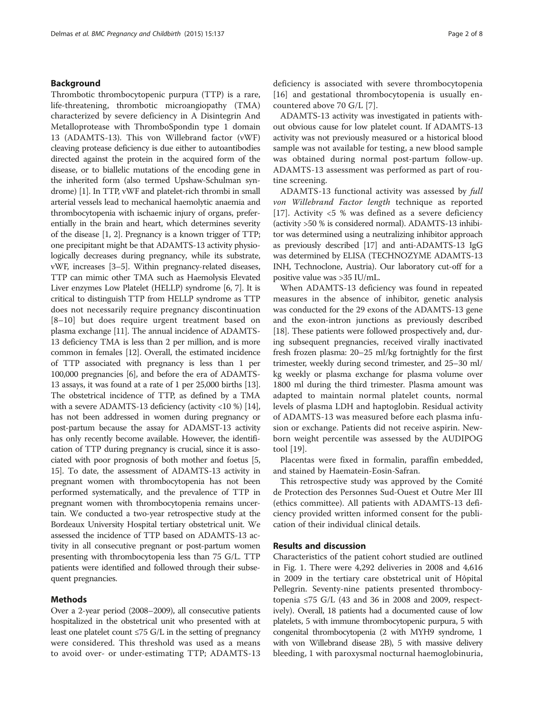#### Background

Thrombotic thrombocytopenic purpura (TTP) is a rare, life-threatening, thrombotic microangiopathy (TMA) characterized by severe deficiency in A Disintegrin And Metalloprotease with ThromboSpondin type 1 domain 13 (ADAMTS-13). This von Willebrand factor (vWF) cleaving protease deficiency is due either to autoantibodies directed against the protein in the acquired form of the disease, or to biallelic mutations of the encoding gene in the inherited form (also termed Upshaw-Schulman syndrome) [\[1\]](#page-6-0). In TTP, vWF and platelet-rich thrombi in small arterial vessels lead to mechanical haemolytic anaemia and thrombocytopenia with ischaemic injury of organs, preferentially in the brain and heart, which determines severity of the disease [[1, 2](#page-6-0)]. Pregnancy is a known trigger of TTP; one precipitant might be that ADAMTS-13 activity physiologically decreases during pregnancy, while its substrate, vWF, increases [\[3](#page-6-0)–[5\]](#page-6-0). Within pregnancy-related diseases, TTP can mimic other TMA such as Haemolysis Elevated Liver enzymes Low Platelet (HELLP) syndrome [\[6, 7\]](#page-6-0). It is critical to distinguish TTP from HELLP syndrome as TTP does not necessarily require pregnancy discontinuation [[8](#page-6-0)–[10\]](#page-6-0) but does require urgent treatment based on plasma exchange [[11](#page-6-0)]. The annual incidence of ADAMTS-13 deficiency TMA is less than 2 per million, and is more common in females [\[12\]](#page-6-0). Overall, the estimated incidence of TTP associated with pregnancy is less than 1 per 100,000 pregnancies [\[6\]](#page-6-0), and before the era of ADAMTS-13 assays, it was found at a rate of 1 per 25,000 births [[13](#page-6-0)]. The obstetrical incidence of TTP, as defined by a TMA with a severe ADAMTS-13 deficiency (activity <10 %) [[14](#page-6-0)], has not been addressed in women during pregnancy or post-partum because the assay for ADAMST-13 activity has only recently become available. However, the identification of TTP during pregnancy is crucial, since it is associated with poor prognosis of both mother and foetus [[5](#page-6-0), [15](#page-6-0)]. To date, the assessment of ADAMTS-13 activity in pregnant women with thrombocytopenia has not been performed systematically, and the prevalence of TTP in pregnant women with thrombocytopenia remains uncertain. We conducted a two-year retrospective study at the Bordeaux University Hospital tertiary obstetrical unit. We assessed the incidence of TTP based on ADAMTS-13 activity in all consecutive pregnant or post-partum women presenting with thrombocytopenia less than 75 G/L. TTP patients were identified and followed through their subsequent pregnancies.

#### Methods

Over a 2-year period (2008–2009), all consecutive patients hospitalized in the obstetrical unit who presented with at least one platelet count  $\leq$ 75 G/L in the setting of pregnancy were considered. This threshold was used as a means to avoid over- or under-estimating TTP; ADAMTS-13 deficiency is associated with severe thrombocytopenia [[16\]](#page-6-0) and gestational thrombocytopenia is usually encountered above 70 G/L [[7](#page-6-0)].

ADAMTS-13 activity was investigated in patients without obvious cause for low platelet count. If ADAMTS-13 activity was not previously measured or a historical blood sample was not available for testing, a new blood sample was obtained during normal post-partum follow-up. ADAMTS-13 assessment was performed as part of routine screening.

ADAMTS-13 functional activity was assessed by full von Willebrand Factor length technique as reported [[17\]](#page-6-0). Activity <5 % was defined as a severe deficiency (activity >50 % is considered normal). ADAMTS-13 inhibitor was determined using a neutralizing inhibitor approach as previously described [[17](#page-6-0)] and anti-ADAMTS-13 IgG was determined by ELISA (TECHNOZYME ADAMTS-13 INH, Technoclone, Austria). Our laboratory cut-off for a positive value was >35 IU/mL.

When ADAMTS-13 deficiency was found in repeated measures in the absence of inhibitor, genetic analysis was conducted for the 29 exons of the ADAMTS-13 gene and the exon-intron junctions as previously described [[18](#page-7-0)]. These patients were followed prospectively and, during subsequent pregnancies, received virally inactivated fresh frozen plasma: 20–25 ml/kg fortnightly for the first trimester, weekly during second trimester, and 25–30 ml/ kg weekly or plasma exchange for plasma volume over 1800 ml during the third trimester. Plasma amount was adapted to maintain normal platelet counts, normal levels of plasma LDH and haptoglobin. Residual activity of ADAMTS-13 was measured before each plasma infusion or exchange. Patients did not receive aspirin. Newborn weight percentile was assessed by the AUDIPOG tool [[19\]](#page-7-0).

Placentas were fixed in formalin, paraffin embedded, and stained by Haematein-Eosin-Safran.

This retrospective study was approved by the Comité de Protection des Personnes Sud-Ouest et Outre Mer III (ethics committee). All patients with ADAMTS-13 deficiency provided written informed consent for the publication of their individual clinical details.

### Results and discussion

Characteristics of the patient cohort studied are outlined in Fig. [1](#page-2-0). There were 4,292 deliveries in 2008 and 4,616 in 2009 in the tertiary care obstetrical unit of Hôpital Pellegrin. Seventy-nine patients presented thrombocytopenia ≤75 G/L (43 and 36 in 2008 and 2009, respectively). Overall, 18 patients had a documented cause of low platelets, 5 with immune thrombocytopenic purpura, 5 with congenital thrombocytopenia (2 with MYH9 syndrome, 1 with von Willebrand disease 2B), 5 with massive delivery bleeding, 1 with paroxysmal nocturnal haemoglobinuria,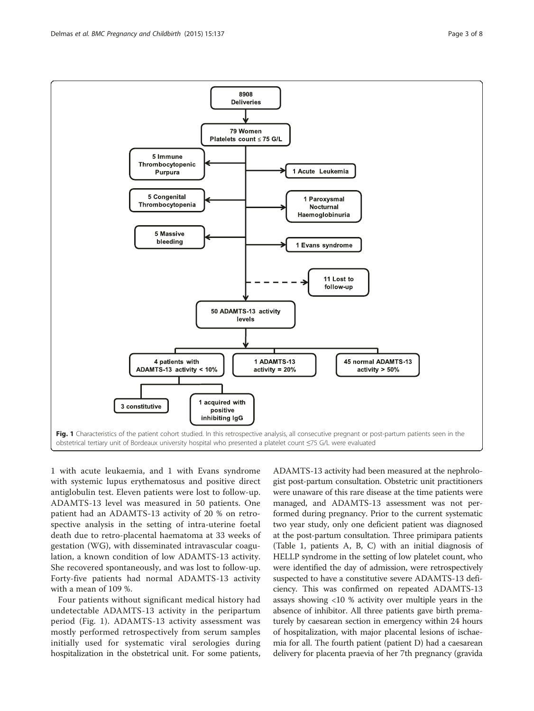<span id="page-2-0"></span>

1 with acute leukaemia, and 1 with Evans syndrome with systemic lupus erythematosus and positive direct antiglobulin test. Eleven patients were lost to follow-up. ADAMTS-13 level was measured in 50 patients. One patient had an ADAMTS-13 activity of 20 % on retrospective analysis in the setting of intra-uterine foetal death due to retro-placental haematoma at 33 weeks of gestation (WG), with disseminated intravascular coagulation, a known condition of low ADAMTS-13 activity. She recovered spontaneously, and was lost to follow-up. Forty-five patients had normal ADAMTS-13 activity with a mean of 109 %.

Four patients without significant medical history had undetectable ADAMTS-13 activity in the peripartum period (Fig. 1). ADAMTS-13 activity assessment was mostly performed retrospectively from serum samples initially used for systematic viral serologies during hospitalization in the obstetrical unit. For some patients,

ADAMTS-13 activity had been measured at the nephrologist post-partum consultation. Obstetric unit practitioners were unaware of this rare disease at the time patients were managed, and ADAMTS-13 assessment was not performed during pregnancy. Prior to the current systematic two year study, only one deficient patient was diagnosed at the post-partum consultation. Three primipara patients (Table [1](#page-3-0), patients A, B, C) with an initial diagnosis of HELLP syndrome in the setting of low platelet count, who were identified the day of admission, were retrospectively suspected to have a constitutive severe ADAMTS-13 deficiency. This was confirmed on repeated ADAMTS-13 assays showing <10 % activity over multiple years in the absence of inhibitor. All three patients gave birth prematurely by caesarean section in emergency within 24 hours of hospitalization, with major placental lesions of ischaemia for all. The fourth patient (patient D) had a caesarean delivery for placenta praevia of her 7th pregnancy (gravida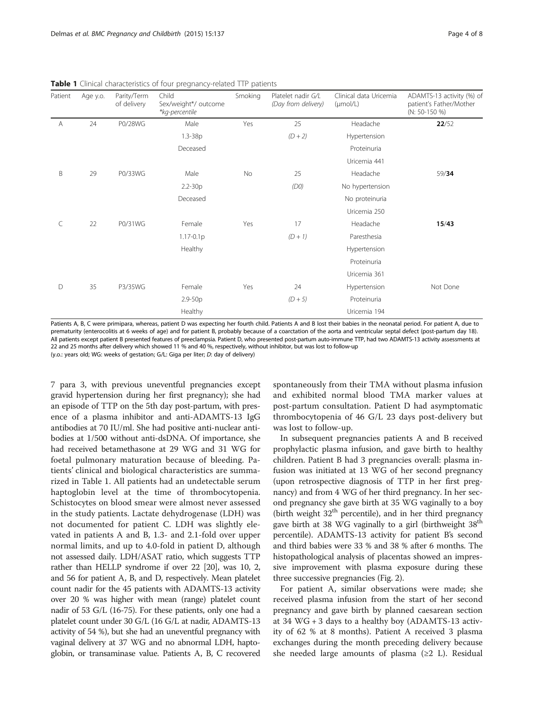| Patient | Age y.o. | Parity/Term<br>of delivery | Child<br>Sex/weight*/ outcome<br>*kg-percentile | Smoking | Platelet nadir G/L<br>(Day from delivery) | Clinical data Uricemia<br>$(\mu \text{mol/L})$ | ADAMTS-13 activity (%) of<br>patient's Father/Mother<br>$(N: 50-150 %)$ |  |
|---------|----------|----------------------------|-------------------------------------------------|---------|-------------------------------------------|------------------------------------------------|-------------------------------------------------------------------------|--|
| Α       | 24       | P0/28WG                    | Male                                            | Yes     | 25                                        | Headache                                       | 22/52                                                                   |  |
|         |          |                            | $1.3 - 38p$                                     |         | $(D + 2)$                                 | Hypertension                                   |                                                                         |  |
|         |          |                            | Deceased                                        |         |                                           | Proteinuria                                    |                                                                         |  |
|         |          |                            |                                                 |         |                                           | Uricemia 441                                   |                                                                         |  |
| B       | 29       | P0/33WG                    | Male                                            | No      | 25                                        | Headache                                       | 59/34                                                                   |  |
|         |          |                            | $2.2 - 30p$                                     |         | (D0)                                      | No hypertension                                |                                                                         |  |
|         |          |                            | Deceased                                        |         |                                           | No proteinuria                                 |                                                                         |  |
|         |          |                            |                                                 |         |                                           | Uricemia 250                                   |                                                                         |  |
| C       | 22       | P0/31WG                    | Female                                          | Yes     | 17                                        | Headache                                       | 15/43                                                                   |  |
|         |          |                            | $1.17 - 0.1p$                                   |         | $(D + 1)$                                 | Paresthesia                                    |                                                                         |  |
|         |          |                            | Healthy                                         |         |                                           | Hypertension                                   |                                                                         |  |
|         |          |                            |                                                 |         |                                           | Proteinuria                                    |                                                                         |  |
|         |          |                            |                                                 |         |                                           | Uricemia 361                                   |                                                                         |  |
| D       | 35       | P3/35WG                    | Female                                          | Yes     | 24                                        | Hypertension                                   | Not Done                                                                |  |
|         |          |                            | $2.9 - 50p$                                     |         |                                           | $(D + 5)$                                      | Proteinuria                                                             |  |
|         |          |                            | Healthy                                         |         |                                           | Uricemia 194                                   |                                                                         |  |

<span id="page-3-0"></span>**Table 1** Clinical characteristics of four pregnancy-related TTP patients

Patients A, B, C were primipara, whereas, patient D was expecting her fourth child. Patients A and B lost their babies in the neonatal period. For patient A, due to prematurity (enterocolitis at 6 weeks of age) and for patient B, probably because of a coarctation of the aorta and ventricular septal defect (post-partum day 18). All patients except patient B presented features of preeclampsia. Patient D, who presented post-partum auto-immune TTP, had two ADAMTS-13 activity assessments at 22 and 25 months after delivery which showed 11 % and 40 %, respectively, without inhibitor, but was lost to follow-up

(y.o.: years old; WG: weeks of gestation; G/L: Giga per liter; D: day of delivery)

7 para 3, with previous uneventful pregnancies except gravid hypertension during her first pregnancy); she had an episode of TTP on the 5th day post-partum, with presence of a plasma inhibitor and anti-ADAMTS-13 IgG antibodies at 70 IU/ml. She had positive anti-nuclear antibodies at 1/500 without anti-dsDNA. Of importance, she had received betamethasone at 29 WG and 31 WG for foetal pulmonary maturation because of bleeding. Patients' clinical and biological characteristics are summarized in Table 1. All patients had an undetectable serum haptoglobin level at the time of thrombocytopenia. Schistocytes on blood smear were almost never assessed in the study patients. Lactate dehydrogenase (LDH) was not documented for patient C. LDH was slightly elevated in patients A and B, 1.3- and 2.1-fold over upper normal limits, and up to 4.0-fold in patient D, although not assessed daily. LDH/ASAT ratio, which suggests TTP rather than HELLP syndrome if over 22 [\[20\]](#page-7-0), was 10, 2, and 56 for patient A, B, and D, respectively. Mean platelet count nadir for the 45 patients with ADAMTS-13 activity over 20 % was higher with mean (range) platelet count nadir of 53 G/L (16-75). For these patients, only one had a platelet count under 30 G/L (16 G/L at nadir, ADAMTS-13 activity of 54 %), but she had an uneventful pregnancy with vaginal delivery at 37 WG and no abnormal LDH, haptoglobin, or transaminase value. Patients A, B, C recovered

spontaneously from their TMA without plasma infusion and exhibited normal blood TMA marker values at post-partum consultation. Patient D had asymptomatic thrombocytopenia of 46 G/L 23 days post-delivery but was lost to follow-up.

In subsequent pregnancies patients A and B received prophylactic plasma infusion, and gave birth to healthy children. Patient B had 3 pregnancies overall: plasma infusion was initiated at 13 WG of her second pregnancy (upon retrospective diagnosis of TTP in her first pregnancy) and from 4 WG of her third pregnancy. In her second pregnancy she gave birth at 35 WG vaginally to a boy (birth weight  $32<sup>th</sup>$  percentile), and in her third pregnancy gave birth at 38 WG vaginally to a girl (birthweight 38<sup>th</sup> percentile). ADAMTS-13 activity for patient B's second and third babies were 33 % and 38 % after 6 months. The histopathological analysis of placentas showed an impressive improvement with plasma exposure during these three successive pregnancies (Fig. [2\)](#page-4-0).

For patient A, similar observations were made; she received plasma infusion from the start of her second pregnancy and gave birth by planned caesarean section at 34 WG + 3 days to a healthy boy (ADAMTS-13 activity of 62 % at 8 months). Patient A received 3 plasma exchanges during the month preceding delivery because she needed large amounts of plasma  $(≥2 L)$ . Residual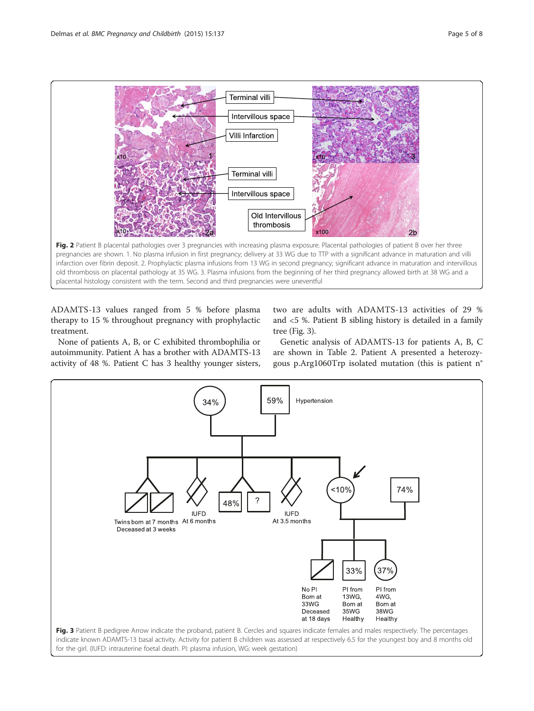<span id="page-4-0"></span>

ADAMTS-13 values ranged from 5 % before plasma therapy to 15 % throughout pregnancy with prophylactic treatment.

placental histology consistent with the term. Second and third pregnancies were uneventful

two are adults with ADAMTS-13 activities of 29 % and <5 %. Patient B sibling history is detailed in a family tree (Fig. 3).

None of patients A, B, or C exhibited thrombophilia or autoimmunity. Patient A has a brother with ADAMTS-13 activity of 48 %. Patient C has 3 healthy younger sisters,

Genetic analysis of ADAMTS-13 for patients A, B, C are shown in Table [2](#page-5-0). Patient A presented a heterozygous p.Arg1060Trp isolated mutation (this is patient n°

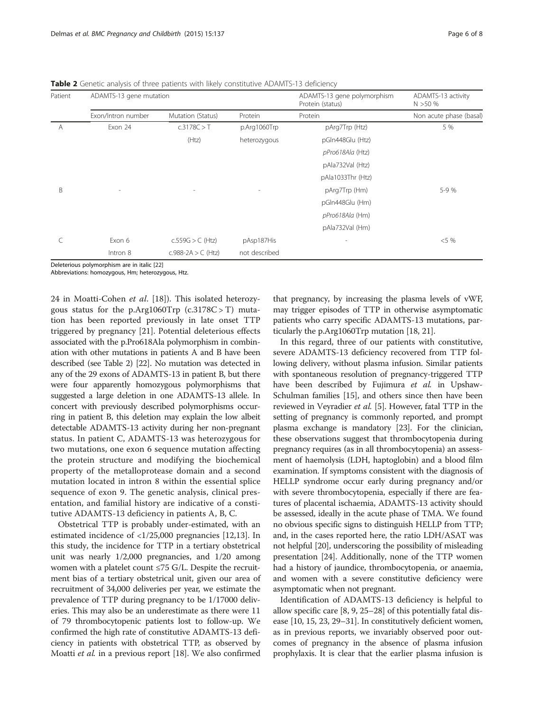<span id="page-5-0"></span>Table 2 Genetic analysis of three patients with likely constitutive ADAMTS-13 deficiency

| Patient | ADAMTS-13 gene mutation  |                             |               | ADAMTS-13 gene polymorphism<br>Protein (status) | ADAMTS-13 activity<br>N > 50% |  |
|---------|--------------------------|-----------------------------|---------------|-------------------------------------------------|-------------------------------|--|
|         | Exon/Intron number       | Mutation (Status)           | Protein       | Protein                                         | Non acute phase (basal)       |  |
| A       | Exon 24                  | c.3178C > T<br>p.Arg1060Trp |               | pArg7Trp (Htz)                                  | 5 %                           |  |
|         |                          | (Htz)                       | heterozygous  | pGln448Glu (Htz)                                |                               |  |
|         |                          |                             |               | pPro618Ala (Htz)                                |                               |  |
|         |                          |                             |               | pAla732Val (Htz)                                |                               |  |
|         |                          |                             |               | pAla1033Thr (Htz)                               |                               |  |
| B       | $\overline{\phantom{a}}$ |                             |               | pArg7Trp (Hm)                                   | 5-9 %                         |  |
|         |                          |                             |               | pGln448Glu (Hm)                                 |                               |  |
|         |                          |                             |               | pPro618Ala (Hm)                                 |                               |  |
|         |                          |                             |               | pAla732Val (Hm)                                 |                               |  |
|         | Exon 6                   | $c.559G > C$ (Htz)          | pAsp187His    |                                                 | $< 5\%$                       |  |
|         | Intron 8                 | c.988-2A $>$ C (Htz)        | not described |                                                 |                               |  |

Deleterious polymorphism are in italic [\[22](#page-7-0)]

Abbreviations: homozygous, Hm; heterozygous, Htz.

24 in Moatti-Cohen et al. [[18\]](#page-7-0)). This isolated heterozygous status for the p.Arg1060Trp  $(c.3178C > T)$  mutation has been reported previously in late onset TTP triggered by pregnancy [\[21\]](#page-7-0). Potential deleterious effects associated with the p.Pro618Ala polymorphism in combination with other mutations in patients A and B have been described (see Table 2) [[22](#page-7-0)]. No mutation was detected in any of the 29 exons of ADAMTS-13 in patient B, but there were four apparently homozygous polymorphisms that suggested a large deletion in one ADAMTS-13 allele. In concert with previously described polymorphisms occurring in patient B, this deletion may explain the low albeit detectable ADAMTS-13 activity during her non-pregnant status. In patient C, ADAMTS-13 was heterozygous for two mutations, one exon 6 sequence mutation affecting the protein structure and modifying the biochemical property of the metalloprotease domain and a second mutation located in intron 8 within the essential splice sequence of exon 9. The genetic analysis, clinical presentation, and familial history are indicative of a constitutive ADAMTS-13 deficiency in patients A, B, C.

Obstetrical TTP is probably under-estimated, with an estimated incidence of <1/25,000 pregnancies [\[12,13](#page-6-0)]. In this study, the incidence for TTP in a tertiary obstetrical unit was nearly 1/2,000 pregnancies, and 1/20 among women with a platelet count ≤75 G/L. Despite the recruitment bias of a tertiary obstetrical unit, given our area of recruitment of 34,000 deliveries per year, we estimate the prevalence of TTP during pregnancy to be 1/17000 deliveries. This may also be an underestimate as there were 11 of 79 thrombocytopenic patients lost to follow-up. We confirmed the high rate of constitutive ADAMTS-13 deficiency in patients with obstetrical TTP, as observed by Moatti et al. in a previous report [[18\]](#page-7-0). We also confirmed that pregnancy, by increasing the plasma levels of vWF, may trigger episodes of TTP in otherwise asymptomatic patients who carry specific ADAMTS-13 mutations, particularly the p.Arg1060Trp mutation [\[18](#page-7-0), [21](#page-7-0)].

In this regard, three of our patients with constitutive, severe ADAMTS-13 deficiency recovered from TTP following delivery, without plasma infusion. Similar patients with spontaneous resolution of pregnancy-triggered TTP have been described by Fujimura et al. in Upshaw-Schulman families [\[15\]](#page-6-0), and others since then have been reviewed in Veyradier et al. [\[5\]](#page-6-0). However, fatal TTP in the setting of pregnancy is commonly reported, and prompt plasma exchange is mandatory [[23\]](#page-7-0). For the clinician, these observations suggest that thrombocytopenia during pregnancy requires (as in all thrombocytopenia) an assessment of haemolysis (LDH, haptoglobin) and a blood film examination. If symptoms consistent with the diagnosis of HELLP syndrome occur early during pregnancy and/or with severe thrombocytopenia, especially if there are features of placental ischaemia, ADAMTS-13 activity should be assessed, ideally in the acute phase of TMA. We found no obvious specific signs to distinguish HELLP from TTP; and, in the cases reported here, the ratio LDH/ASAT was not helpful [\[20\]](#page-7-0), underscoring the possibility of misleading presentation [\[24](#page-7-0)]. Additionally, none of the TTP women had a history of jaundice, thrombocytopenia, or anaemia, and women with a severe constitutive deficiency were asymptomatic when not pregnant.

Identification of ADAMTS-13 deficiency is helpful to allow specific care [[8](#page-6-0), [9,](#page-6-0) [25](#page-7-0)–[28\]](#page-7-0) of this potentially fatal disease [\[10, 15](#page-6-0), [23](#page-7-0), [29](#page-7-0)–[31](#page-7-0)]. In constitutively deficient women, as in previous reports, we invariably observed poor outcomes of pregnancy in the absence of plasma infusion prophylaxis. It is clear that the earlier plasma infusion is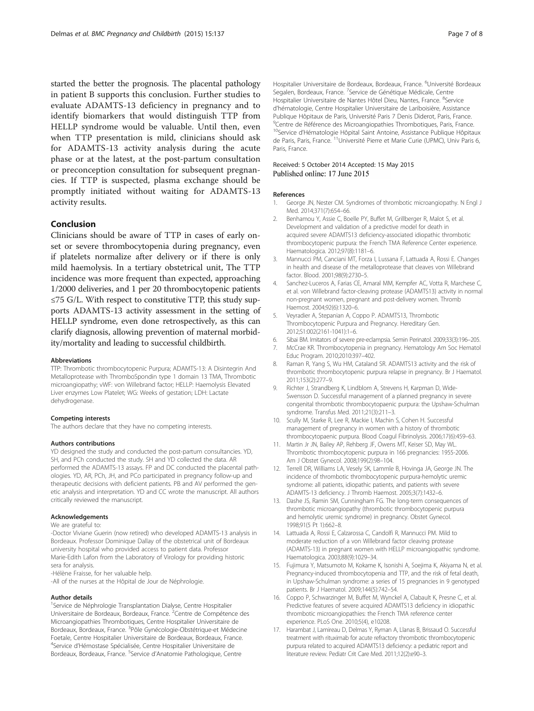<span id="page-6-0"></span>started the better the prognosis. The placental pathology in patient B supports this conclusion. Further studies to evaluate ADAMTS-13 deficiency in pregnancy and to identify biomarkers that would distinguish TTP from HELLP syndrome would be valuable. Until then, even when TTP presentation is mild, clinicians should ask for ADAMTS-13 activity analysis during the acute phase or at the latest, at the post-partum consultation or preconception consultation for subsequent pregnancies. If TTP is suspected, plasma exchange should be promptly initiated without waiting for ADAMTS-13 activity results.

#### Conclusion

Clinicians should be aware of TTP in cases of early onset or severe thrombocytopenia during pregnancy, even if platelets normalize after delivery or if there is only mild haemolysis. In a tertiary obstetrical unit, The TTP incidence was more frequent than expected, approaching 1/2000 deliveries, and 1 per 20 thrombocytopenic patients ≤75 G/L. With respect to constitutive TTP, this study supports ADAMTS-13 activity assessment in the setting of HELLP syndrome, even done retrospectively, as this can clarify diagnosis, allowing prevention of maternal morbidity/mortality and leading to successful childbirth.

#### Abbreviations

TTP: Thrombotic thrombocytopenic Purpura; ADAMTS-13: A Disintegrin And Metalloprotease with ThromboSpondin type 1 domain 13 TMA, Thrombotic microangiopathy; vWF: von Willebrand factor; HELLP: Haemolysis Elevated Liver enzymes Low Platelet; WG: Weeks of gestation; LDH: Lactate dehydrogenase.

#### Competing interests

The authors declare that they have no competing interests.

#### Authors contributions

YD designed the study and conducted the post-partum consultancies. YD, SH, and PCh conducted the study. SH and YD collected the data. AR performed the ADAMTS-13 assays. FP and DC conducted the placental pathologies. YD, AR, PCh, JH, and PCo participated in pregnancy follow-up and therapeutic decisions with deficient patients. PB and AV performed the genetic analysis and interpretation. YD and CC wrote the manuscript. All authors critically reviewed the manuscript.

#### Acknowledgements

#### We are grateful to:

-Doctor Viviane Guerin (now retired) who developed ADAMTS-13 analysis in Bordeaux. Professor Dominique Dallay of the obstetrical unit of Bordeaux university hospital who provided access to patient data. Professor Marie-Edith Lafon from the Laboratory of Virology for providing historic sera for analysis.

-Hélène Fraisse, for her valuable help.

-All of the nurses at the Hôpital de Jour de Néphrologie.

#### Author details

<sup>1</sup>Service de Néphrologie Transplantation Dialyse, Centre Hospitalier Universitaire de Bordeaux, Bordeaux, France. <sup>2</sup>Centre de Compétence des Microangiopathies Thrombotiques, Centre Hospitalier Universitaire de Bordeaux, Bordeaux, France. <sup>3</sup>Pôle Gynécologie-Obstétrique-et Médecine Foetale, Centre Hospitalier Universitaire de Bordeaux, Bordeaux, France. 4 Service d'Hémostase Spécialisée, Centre Hospitalier Universitaire de Bordeaux, Bordeaux, France. <sup>5</sup>Service d'Anatomie Pathologique, Centre

Hospitalier Universitaire de Bordeaux, Bordeaux, France. <sup>6</sup>Université Bordeaux Segalen, Bordeaux, France. 7Service de Génétique Médicale, Centre Hospitalier Universitaire de Nantes Hôtel Dieu, Nantes, France. <sup>8</sup>Service d'hématologie, Centre Hospitalier Universitaire de Lariboisière, Assistance Publique Hôpitaux de Paris, Université Paris 7 Denis Diderot, Paris, France. <sup>9</sup> Centre de Référence des Microangiopathies Thrombotiques, Paris, France <sup>10</sup>Service d'Hématologie Hôpital Saint Antoine, Assistance Publique Hôpitaux de Paris, Paris, France. <sup>11</sup>Université Pierre et Marie Curie (UPMC), Univ Paris 6, Paris, France.

#### Received: 5 October 2014 Accepted: 15 May 2015 Published online: 17 June 2015

#### References

- 1. George JN, Nester CM. Syndromes of thrombotic microangiopathy. N Engl J Med. 2014;371(7):654–66.
- 2. Benhamou Y, Assie C, Boelle PY, Buffet M, Grillberger R, Malot S, et al. Development and validation of a predictive model for death in acquired severe ADAMTS13 deficiency-associated idiopathic thrombotic thrombocytopenic purpura: the French TMA Reference Center experience. Haematologica. 2012;97(8):1181–6.
- 3. Mannucci PM, Canciani MT, Forza I, Lussana F, Lattuada A, Rossi E. Changes in health and disease of the metalloprotease that cleaves von Willebrand factor. Blood. 2001;98(9):2730–5.
- 4. Sanchez-Luceros A, Farias CE, Amaral MM, Kempfer AC, Votta R, Marchese C, et al. von Willebrand factor-cleaving protease (ADAMTS13) activity in normal non-pregnant women, pregnant and post-delivery women. Thromb Haemost. 2004;92(6):1320–6.
- 5. Veyradier A, Stepanian A, Coppo P. ADAMTS13, Thrombotic Thrombocytopenic Purpura and Pregnancy. Hereditary Gen. 2012;S1:002(2161-1041):1–6.
- 6. Sibai BM. Imitators of severe pre-eclampsia. Semin Perinatol. 2009;33(3):196–205.
- 7. McCrae KR. Thrombocytopenia in pregnancy. Hematology Am Soc Hematol Educ Program. 2010;2010:397–402.
- 8. Raman R, Yang S, Wu HM, Cataland SR. ADAMTS13 activity and the risk of thrombotic thrombocytopenic purpura relapse in pregnancy. Br J Haematol. 2011;153(2):277–9.
- 9. Richter J, Strandberg K, Lindblom A, Strevens H, Karpman D, Wide-Swensson D. Successful management of a planned pregnancy in severe congenital thrombotic thrombocytopaenic purpura: the Upshaw-Schulman syndrome. Transfus Med. 2011;21(3):211–3.
- 10. Scully M, Starke R, Lee R, Mackie I, Machin S, Cohen H. Successful management of pregnancy in women with a history of thrombotic thrombocytopaenic purpura. Blood Coagul Fibrinolysis. 2006;17(6):459–63.
- 11. Martin Jr JN, Bailey AP, Rehberg JF, Owens MT, Keiser SD, May WL. Thrombotic thrombocytopenic purpura in 166 pregnancies: 1955-2006. Am J Obstet Gynecol. 2008;199(2):98–104.
- 12. Terrell DR, Williams LA, Vesely SK, Lammle B, Hovinga JA, George JN. The incidence of thrombotic thrombocytopenic purpura-hemolytic uremic syndrome: all patients, idiopathic patients, and patients with severe ADAMTS-13 deficiency. J Thromb Haemost. 2005;3(7):1432–6.
- 13. Dashe JS, Ramin SM, Cunningham FG. The long-term consequences of thrombotic microangiopathy (thrombotic thrombocytopenic purpura and hemolytic uremic syndrome) in pregnancy. Obstet Gynecol. 1998;91(5 Pt 1):662–8.
- 14. Lattuada A, Rossi E, Calzarossa C, Candolfi R, Mannucci PM. Mild to moderate reduction of a von Willebrand factor cleaving protease (ADAMTS-13) in pregnant women with HELLP microangiopathic syndrome. Haematologica. 2003;88(9):1029–34.
- 15. Fujimura Y, Matsumoto M, Kokame K, Isonishi A, Soejima K, Akiyama N, et al. Pregnancy-induced thrombocytopenia and TTP, and the risk of fetal death, in Upshaw-Schulman syndrome: a series of 15 pregnancies in 9 genotyped patients. Br J Haematol. 2009;144(5):742–54.
- 16. Coppo P, Schwarzinger M, Buffet M, Wynckel A, Clabault K, Presne C, et al. Predictive features of severe acquired ADAMTS13 deficiency in idiopathic thrombotic microangiopathies: the French TMA reference center experience. PLoS One. 2010;5(4), e10208.
- 17. Harambat J, Lamireau D, Delmas Y, Ryman A, Llanas B, Brissaud O. Successful treatment with rituximab for acute refractory thrombotic thrombocytopenic purpura related to acquired ADAMTS13 deficiency: a pediatric report and literature review. Pediatr Crit Care Med. 2011;12(2):e90–3.